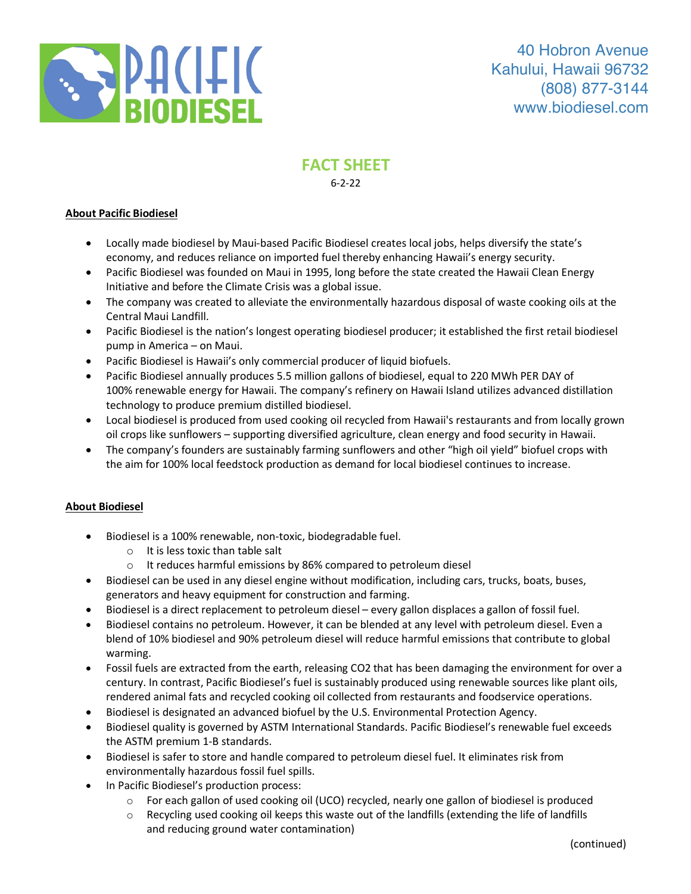

# **FACT SHEET** 6-2-22

#### **About Pacific Biodiesel**

- Locally made biodiesel by Maui-based Pacific Biodiesel creates local jobs, helps diversify the state's economy, and reduces reliance on imported fuel thereby enhancing Hawaii's energy security.
- Pacific Biodiesel was founded on Maui in 1995, long before the state created the Hawaii Clean Energy Initiative and before the Climate Crisis was a global issue.
- The company was created to alleviate the environmentally hazardous disposal of waste cooking oils at the Central Maui Landfill.
- Pacific Biodiesel is the nation's longest operating biodiesel producer; it established the first retail biodiesel pump in America – on Maui.
- Pacific Biodiesel is Hawaii's only commercial producer of liquid biofuels.
- Pacific Biodiesel annually produces 5.5 million gallons of biodiesel, equal to 220 MWh PER DAY of 100% renewable energy for Hawaii. The company's refinery on Hawaii Island utilizes advanced distillation technology to produce premium distilled biodiesel.
- Local biodiesel is produced from used cooking oil recycled from Hawaii's restaurants and from locally grown oil crops like sunflowers – supporting diversified agriculture, clean energy and food security in Hawaii.
- The company's founders are sustainably farming sunflowers and other "high oil yield" biofuel crops with the aim for 100% local feedstock production as demand for local biodiesel continues to increase.

#### **About Biodiesel**

- Biodiesel is a 100% renewable, non-toxic, biodegradable fuel.
	- o It is less toxic than table salt
	- o It reduces harmful emissions by 86% compared to petroleum diesel
- Biodiesel can be used in any diesel engine without modification, including cars, trucks, boats, buses, generators and heavy equipment for construction and farming.
- Biodiesel is a direct replacement to petroleum diesel every gallon displaces a gallon of fossil fuel.
- Biodiesel contains no petroleum. However, it can be blended at any level with petroleum diesel. Even a blend of 10% biodiesel and 90% petroleum diesel will reduce harmful emissions that contribute to global warming.
- Fossil fuels are extracted from the earth, releasing CO2 that has been damaging the environment for over a century. In contrast, Pacific Biodiesel's fuel is sustainably produced using renewable sources like plant oils, rendered animal fats and recycled cooking oil collected from restaurants and foodservice operations.
- Biodiesel is designated an advanced biofuel by the U.S. Environmental Protection Agency.
- Biodiesel quality is governed by ASTM International Standards. Pacific Biodiesel's renewable fuel exceeds the ASTM premium 1-B standards.
- Biodiesel is safer to store and handle compared to petroleum diesel fuel. It eliminates risk from environmentally hazardous fossil fuel spills.
- In Pacific Biodiesel's production process:
	- o For each gallon of used cooking oil (UCO) recycled, nearly one gallon of biodiesel is produced
	- $\circ$  Recycling used cooking oil keeps this waste out of the landfills (extending the life of landfills and reducing ground water contamination)